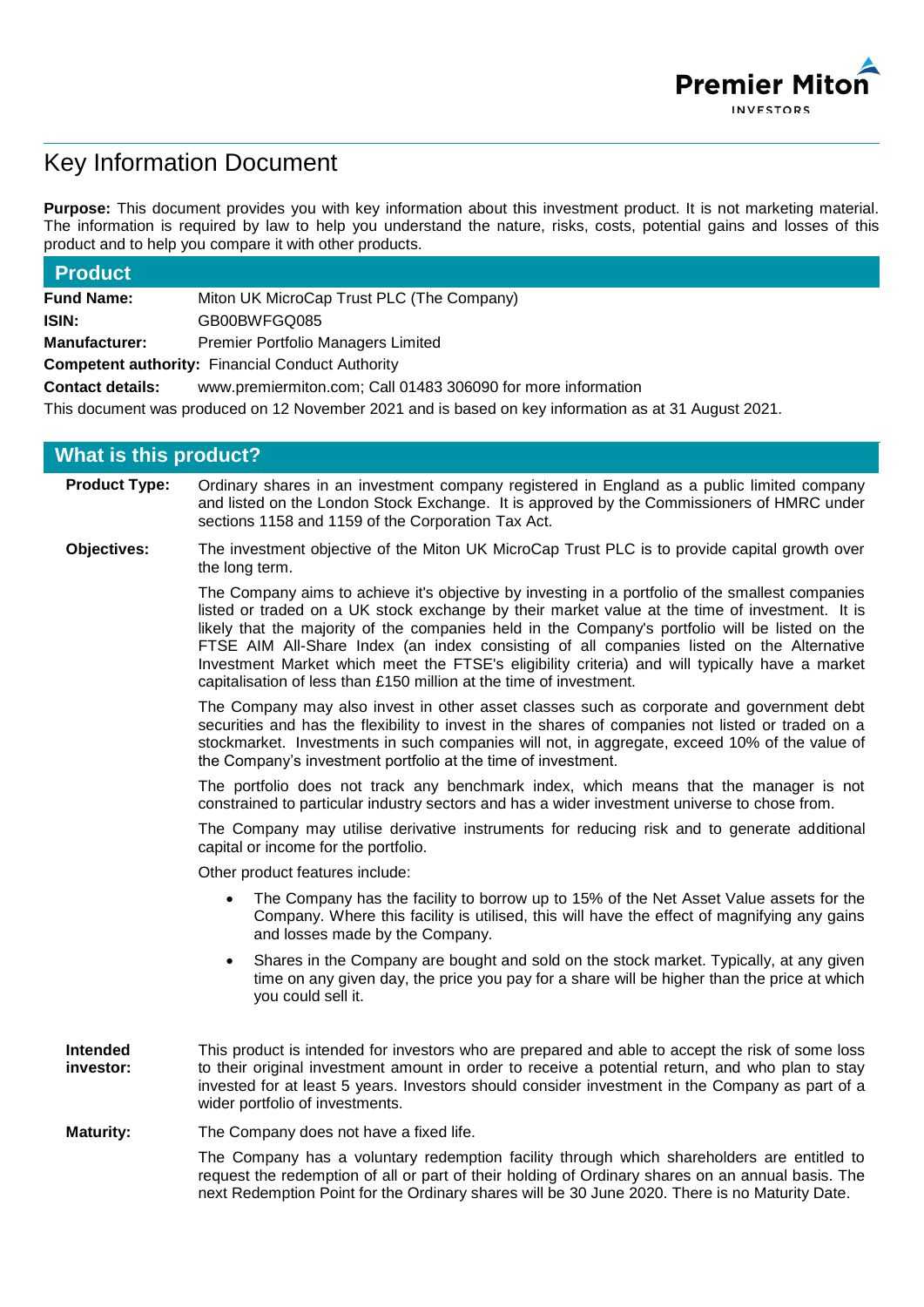

# Key Information Document

**Purpose:** This document provides you with key information about this investment product. It is not marketing material. The information is required by law to help you understand the nature, risks, costs, potential gains and losses of this product and to help you compare it with other products.

| <b>Product</b>                                                                                       |                                                              |  |  |  |
|------------------------------------------------------------------------------------------------------|--------------------------------------------------------------|--|--|--|
| <b>Fund Name:</b>                                                                                    | Miton UK MicroCap Trust PLC (The Company)                    |  |  |  |
| ISIN:                                                                                                | GB00BWFGQ085                                                 |  |  |  |
| <b>Manufacturer:</b>                                                                                 | <b>Premier Portfolio Managers Limited</b>                    |  |  |  |
|                                                                                                      | <b>Competent authority: Financial Conduct Authority</b>      |  |  |  |
| <b>Contact details:</b>                                                                              | www.premiermiton.com; Call 01483 306090 for more information |  |  |  |
| This document was produced on 12 November 2021 and is based on key information as at 31 August 2021. |                                                              |  |  |  |
| <b>What is this product?</b>                                                                         |                                                              |  |  |  |

| <b>Product Type:</b>  | Ordinary shares in an investment company registered in England as a public limited company<br>and listed on the London Stock Exchange. It is approved by the Commissioners of HMRC under<br>sections 1158 and 1159 of the Corporation Tax Act.                                                                                                                                                                                                                                                                                                                             |
|-----------------------|----------------------------------------------------------------------------------------------------------------------------------------------------------------------------------------------------------------------------------------------------------------------------------------------------------------------------------------------------------------------------------------------------------------------------------------------------------------------------------------------------------------------------------------------------------------------------|
| Objectives:           | The investment objective of the Miton UK MicroCap Trust PLC is to provide capital growth over<br>the long term.                                                                                                                                                                                                                                                                                                                                                                                                                                                            |
|                       | The Company aims to achieve it's objective by investing in a portfolio of the smallest companies<br>listed or traded on a UK stock exchange by their market value at the time of investment. It is<br>likely that the majority of the companies held in the Company's portfolio will be listed on the<br>FTSE AIM All-Share Index (an index consisting of all companies listed on the Alternative<br>Investment Market which meet the FTSE's eligibility criteria) and will typically have a market<br>capitalisation of less than £150 million at the time of investment. |
|                       | The Company may also invest in other asset classes such as corporate and government debt<br>securities and has the flexibility to invest in the shares of companies not listed or traded on a<br>stockmarket. Investments in such companies will not, in aggregate, exceed 10% of the value of<br>the Company's investment portfolio at the time of investment.                                                                                                                                                                                                            |
|                       | The portfolio does not track any benchmark index, which means that the manager is not<br>constrained to particular industry sectors and has a wider investment universe to chose from.                                                                                                                                                                                                                                                                                                                                                                                     |
|                       | The Company may utilise derivative instruments for reducing risk and to generate additional<br>capital or income for the portfolio.                                                                                                                                                                                                                                                                                                                                                                                                                                        |
|                       | Other product features include:                                                                                                                                                                                                                                                                                                                                                                                                                                                                                                                                            |
|                       | The Company has the facility to borrow up to 15% of the Net Asset Value assets for the<br>$\bullet$<br>Company. Where this facility is utilised, this will have the effect of magnifying any gains<br>and losses made by the Company.                                                                                                                                                                                                                                                                                                                                      |
|                       | Shares in the Company are bought and sold on the stock market. Typically, at any given<br>$\bullet$<br>time on any given day, the price you pay for a share will be higher than the price at which<br>you could sell it.                                                                                                                                                                                                                                                                                                                                                   |
| Intended<br>investor: | This product is intended for investors who are prepared and able to accept the risk of some loss<br>to their original investment amount in order to receive a potential return, and who plan to stay<br>invested for at least 5 years. Investors should consider investment in the Company as part of a<br>wider portfolio of investments.                                                                                                                                                                                                                                 |
| <b>Maturity:</b>      | The Company does not have a fixed life.                                                                                                                                                                                                                                                                                                                                                                                                                                                                                                                                    |
|                       |                                                                                                                                                                                                                                                                                                                                                                                                                                                                                                                                                                            |

The Company has a voluntary redemption facility through which shareholders are entitled to request the redemption of all or part of their holding of Ordinary shares on an annual basis. The next Redemption Point for the Ordinary shares will be 30 June 2020. There is no Maturity Date.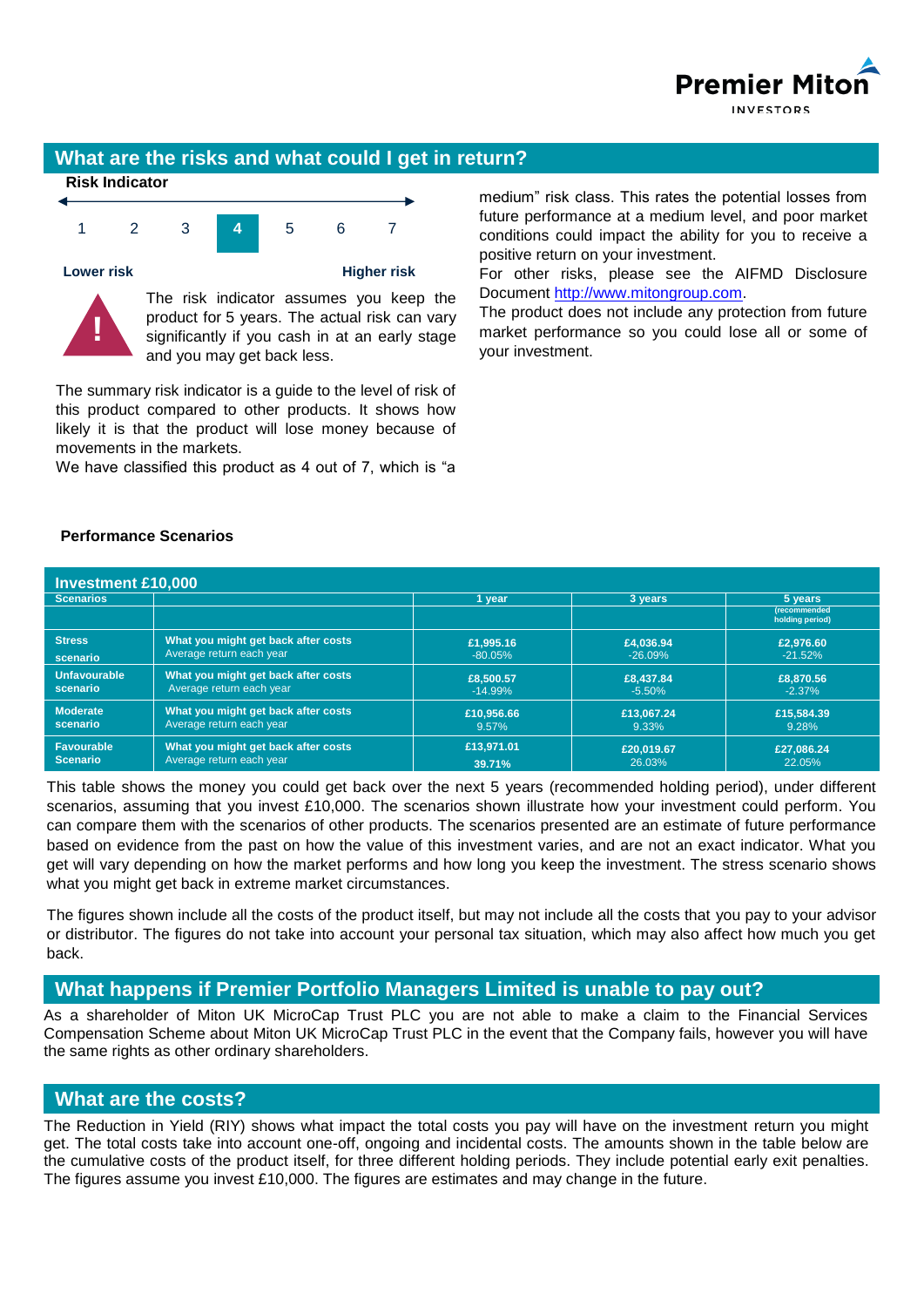

### **What are the risks and what could I get in return?**



The summary risk indicator is a guide to the level of risk of this product compared to other products. It shows how likely it is that the product will lose money because of movements in the markets.

We have classified this product as 4 out of 7, which is "a

medium" risk class. This rates the potential losses from future performance at a medium level, and poor market conditions could impact the ability for you to receive a positive return on your investment.

For other risks, please see the AIFMD Disclosure Document [http://www.mitongroup.com.](http://www.mitongroup.com/)

The product does not include any protection from future market performance so you could lose all or some of your investment.

#### **Performance Scenarios**

| <b>Investment £10,000</b>            |                                                                 |                        |                       |                                                |  |  |
|--------------------------------------|-----------------------------------------------------------------|------------------------|-----------------------|------------------------------------------------|--|--|
| <b>Scenarios</b>                     |                                                                 | l vear                 | 3 years               | 5 years                                        |  |  |
|                                      |                                                                 |                        |                       | <i><b>(recommended)</b></i><br>holding period) |  |  |
| <b>Stress</b>                        | What you might get back after costs                             | £1,995.16              | £4.036.94             | £2,976.60                                      |  |  |
| scenario                             | Average return each year                                        | $-80.05\%$             | $-26.09%$             | $-21.52%$                                      |  |  |
| <b>Unfavourable</b><br>scenario      | What you might get back after costs<br>Average return each year | £8,500.57<br>$-14.99%$ | £8,437.84<br>$-5.50%$ | £8,870,56<br>$-2.37%$                          |  |  |
| <b>Moderate</b><br>scenario          | What you might get back after costs<br>Average return each year | £10,956.66<br>9.57%    | £13,067.24<br>9.33%   | £15,584.39<br>9.28%                            |  |  |
| <b>Favourable</b><br><b>Scenario</b> | What you might get back after costs<br>Average return each year | £13,971.01<br>39.71%   | £20.019.67<br>26.03%  | £27.086.24<br>22.05%                           |  |  |

This table shows the money you could get back over the next 5 years (recommended holding period), under different scenarios, assuming that you invest £10,000. The scenarios shown illustrate how your investment could perform. You can compare them with the scenarios of other products. The scenarios presented are an estimate of future performance based on evidence from the past on how the value of this investment varies, and are not an exact indicator. What you get will vary depending on how the market performs and how long you keep the investment. The stress scenario shows what you might get back in extreme market circumstances.

The figures shown include all the costs of the product itself, but may not include all the costs that you pay to your advisor or distributor. The figures do not take into account your personal tax situation, which may also affect how much you get back.

### **What happens if Premier Portfolio Managers Limited is unable to pay out?**

As a shareholder of Miton UK MicroCap Trust PLC you are not able to make a claim to the Financial Services Compensation Scheme about Miton UK MicroCap Trust PLC in the event that the Company fails, however you will have the same rights as other ordinary shareholders.

### **What are the costs?**

The Reduction in Yield (RIY) shows what impact the total costs you pay will have on the investment return you might get. The total costs take into account one-off, ongoing and incidental costs. The amounts shown in the table below are the cumulative costs of the product itself, for three different holding periods. They include potential early exit penalties. The figures assume you invest £10,000. The figures are estimates and may change in the future.